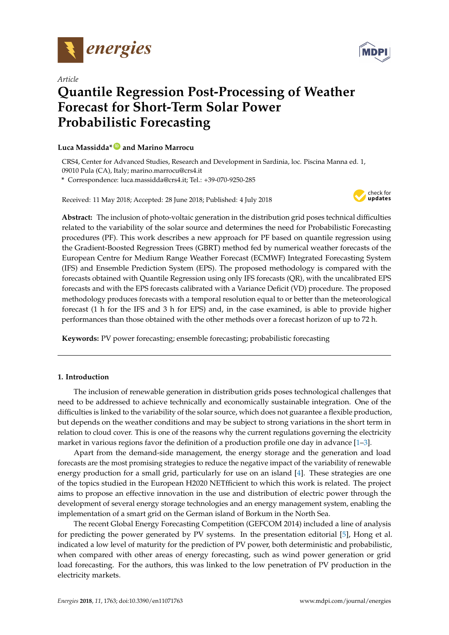



# *Article* **Quantile Regression Post-Processing of Weather Forecast for Short-Term Solar Power Probabilistic Forecasting**

# **Luca Massidda\* [ID](https://orcid.org/0000-0003-2515-0833) and Marino Marrocu**

CRS4, Center for Advanced Studies, Research and Development in Sardinia, loc. Piscina Manna ed. 1, 09010 Pula (CA), Italy; marino.marrocu@crs4.it

**\*** Correspondence: luca.massidda@crs4.it; Tel.: +39-070-9250-285

Received: 11 May 2018; Accepted: 28 June 2018; Published: 4 July 2018



**Abstract:** The inclusion of photo-voltaic generation in the distribution grid poses technical difficulties related to the variability of the solar source and determines the need for Probabilistic Forecasting procedures (PF). This work describes a new approach for PF based on quantile regression using the Gradient-Boosted Regression Trees (GBRT) method fed by numerical weather forecasts of the European Centre for Medium Range Weather Forecast (ECMWF) Integrated Forecasting System (IFS) and Ensemble Prediction System (EPS). The proposed methodology is compared with the forecasts obtained with Quantile Regression using only IFS forecasts (QR), with the uncalibrated EPS forecasts and with the EPS forecasts calibrated with a Variance Deficit (VD) procedure. The proposed methodology produces forecasts with a temporal resolution equal to or better than the meteorological forecast (1 h for the IFS and 3 h for EPS) and, in the case examined, is able to provide higher performances than those obtained with the other methods over a forecast horizon of up to 72 h.

**Keywords:** PV power forecasting; ensemble forecasting; probabilistic forecasting

# **1. Introduction**

The inclusion of renewable generation in distribution grids poses technological challenges that need to be addressed to achieve technically and economically sustainable integration. One of the difficulties is linked to the variability of the solar source, which does not guarantee a flexible production, but depends on the weather conditions and may be subject to strong variations in the short term in relation to cloud cover. This is one of the reasons why the current regulations governing the electricity market in various regions favor the definition of a production profile one day in advance [\[1](#page-18-0)[–3\]](#page-18-1).

Apart from the demand-side management, the energy storage and the generation and load forecasts are the most promising strategies to reduce the negative impact of the variability of renewable energy production for a small grid, particularly for use on an island [\[4\]](#page-18-2). These strategies are one of the topics studied in the European H2020 NETfficient to which this work is related. The project aims to propose an effective innovation in the use and distribution of electric power through the development of several energy storage technologies and an energy management system, enabling the implementation of a smart grid on the German island of Borkum in the North Sea.

The recent Global Energy Forecasting Competition (GEFCOM 2014) included a line of analysis for predicting the power generated by PV systems. In the presentation editorial [\[5\]](#page-18-3), Hong et al. indicated a low level of maturity for the prediction of PV power, both deterministic and probabilistic, when compared with other areas of energy forecasting, such as wind power generation or grid load forecasting. For the authors, this was linked to the low penetration of PV production in the electricity markets.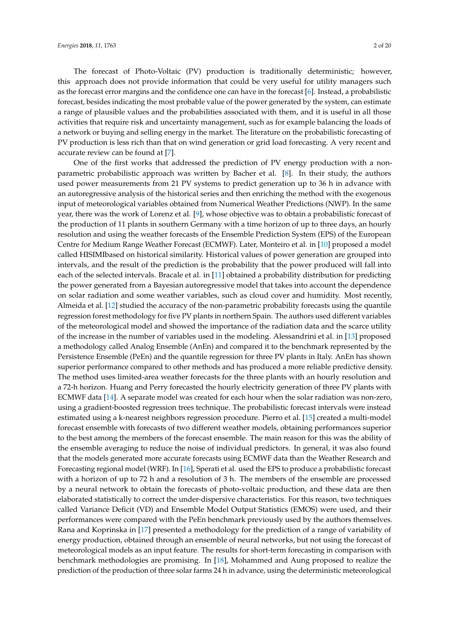The forecast of Photo-Voltaic (PV) production is traditionally deterministic; however, this approach does not provide information that could be very useful for utility managers such as the forecast error margins and the confidence one can have in the forecast [\[6\]](#page-18-4). Instead, a probabilistic forecast, besides indicating the most probable value of the power generated by the system, can estimate a range of plausible values and the probabilities associated with them, and it is useful in all those activities that require risk and uncertainty management, such as for example balancing the loads of a network or buying and selling energy in the market. The literature on the probabilistic forecasting of PV production is less rich than that on wind generation or grid load forecasting. A very recent and accurate review can be found at [\[7\]](#page-18-5).

One of the first works that addressed the prediction of PV energy production with a nonparametric probabilistic approach was written by Bacher et al. [\[8\]](#page-18-6). In their study, the authors used power measurements from 21 PV systems to predict generation up to 36 h in advance with an autoregressive analysis of the historical series and then enriching the method with the exogenous input of meteorological variables obtained from Numerical Weather Predictions (NWP). In the same year, there was the work of Lorenz et al. [\[9\]](#page-18-7), whose objective was to obtain a probabilistic forecast of the production of 11 plants in southern Germany with a time horizon of up to three days, an hourly resolution and using the weather forecasts of the Ensemble Prediction System (EPS) of the European Centre for Medium Range Weather Forecast (ECMWF). Later, Monteiro et al. in [\[10\]](#page-18-8) proposed a model called HISIMIbased on historical similarity. Historical values of power generation are grouped into intervals, and the result of the prediction is the probability that the power produced will fall into each of the selected intervals. Bracale et al. in [\[11\]](#page-18-9) obtained a probability distribution for predicting the power generated from a Bayesian autoregressive model that takes into account the dependence on solar radiation and some weather variables, such as cloud cover and humidity. Most recently, Almeida et al. [\[12\]](#page-18-10) studied the accuracy of the non-parametric probability forecasts using the quantile regression forest methodology for five PV plants in northern Spain. The authors used different variables of the meteorological model and showed the importance of the radiation data and the scarce utility of the increase in the number of variables used in the modeling. Alessandrini et al. in [\[13\]](#page-19-0) proposed a methodology called Analog Ensemble (AnEn) and compared it to the benchmark represented by the Persistence Ensemble (PeEn) and the quantile regression for three PV plants in Italy. AnEn has shown superior performance compared to other methods and has produced a more reliable predictive density. The method uses limited-area weather forecasts for the three plants with an hourly resolution and a 72-h horizon. Huang and Perry forecasted the hourly electricity generation of three PV plants with ECMWF data [\[14\]](#page-19-1). A separate model was created for each hour when the solar radiation was non-zero, using a gradient-boosted regression trees technique. The probabilistic forecast intervals were instead estimated using a k-nearest neighbors regression procedure. Pierro et al. [\[15\]](#page-19-2) created a multi-model forecast ensemble with forecasts of two different weather models, obtaining performances superior to the best among the members of the forecast ensemble. The main reason for this was the ability of the ensemble averaging to reduce the noise of individual predictors. In general, it was also found that the models generated more accurate forecasts using ECMWF data than the Weather Research and Forecasting regional model (WRF). In [\[16\]](#page-19-3), Sperati et al. used the EPS to produce a probabilistic forecast with a horizon of up to 72 h and a resolution of 3 h. The members of the ensemble are processed by a neural network to obtain the forecasts of photo-voltaic production, and these data are then elaborated statistically to correct the under-dispersive characteristics. For this reason, two techniques called Variance Deficit (VD) and Ensemble Model Output Statistics (EMOS) were used, and their performances were compared with the PeEn benchmark previously used by the authors themselves. Rana and Koprinska in [\[17\]](#page-19-4) presented a methodology for the prediction of a range of variability of energy production, obtained through an ensemble of neural networks, but not using the forecast of meteorological models as an input feature. The results for short-term forecasting in comparison with benchmark methodologies are promising. In [\[18\]](#page-19-5), Mohammed and Aung proposed to realize the prediction of the production of three solar farms 24 h in advance, using the deterministic meteorological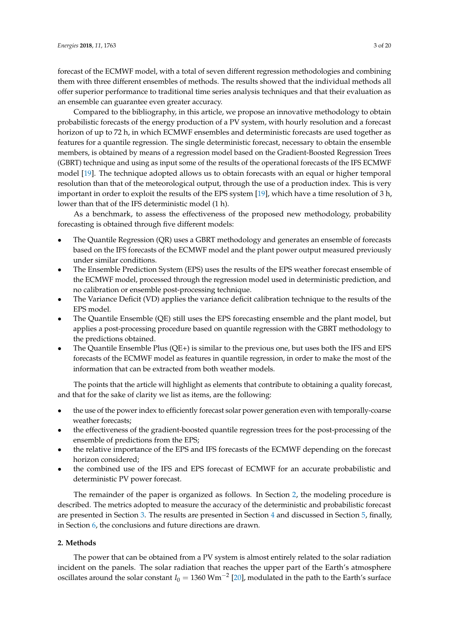forecast of the ECMWF model, with a total of seven different regression methodologies and combining them with three different ensembles of methods. The results showed that the individual methods all offer superior performance to traditional time series analysis techniques and that their evaluation as an ensemble can guarantee even greater accuracy.

Compared to the bibliography, in this article, we propose an innovative methodology to obtain probabilistic forecasts of the energy production of a PV system, with hourly resolution and a forecast horizon of up to 72 h, in which ECMWF ensembles and deterministic forecasts are used together as features for a quantile regression. The single deterministic forecast, necessary to obtain the ensemble members, is obtained by means of a regression model based on the Gradient-Boosted Regression Trees (GBRT) technique and using as input some of the results of the operational forecasts of the IFS ECMWF model [\[19\]](#page-19-6). The technique adopted allows us to obtain forecasts with an equal or higher temporal resolution than that of the meteorological output, through the use of a production index. This is very important in order to exploit the results of the EPS system [\[19\]](#page-19-6), which have a time resolution of 3 h, lower than that of the IFS deterministic model (1 h).

As a benchmark, to assess the effectiveness of the proposed new methodology, probability forecasting is obtained through five different models:

- The Quantile Regression (QR) uses a GBRT methodology and generates an ensemble of forecasts based on the IFS forecasts of the ECMWF model and the plant power output measured previously under similar conditions.
- The Ensemble Prediction System (EPS) uses the results of the EPS weather forecast ensemble of the ECMWF model, processed through the regression model used in deterministic prediction, and no calibration or ensemble post-processing technique.
- The Variance Deficit (VD) applies the variance deficit calibration technique to the results of the EPS model.
- The Quantile Ensemble (QE) still uses the EPS forecasting ensemble and the plant model, but applies a post-processing procedure based on quantile regression with the GBRT methodology to the predictions obtained.
- The Quantile Ensemble Plus (QE+) is similar to the previous one, but uses both the IFS and EPS forecasts of the ECMWF model as features in quantile regression, in order to make the most of the information that can be extracted from both weather models.

The points that the article will highlight as elements that contribute to obtaining a quality forecast, and that for the sake of clarity we list as items, are the following:

- the use of the power index to efficiently forecast solar power generation even with temporally-coarse weather forecasts;
- the effectiveness of the gradient-boosted quantile regression trees for the post-processing of the ensemble of predictions from the EPS;
- the relative importance of the EPS and IFS forecasts of the ECMWF depending on the forecast horizon considered;
- the combined use of the IFS and EPS forecast of ECMWF for an accurate probabilistic and deterministic PV power forecast.

The remainder of the paper is organized as follows. In Section [2,](#page-2-0) the modeling procedure is described. The metrics adopted to measure the accuracy of the deterministic and probabilistic forecast are presented in Section [3.](#page-8-0) The results are presented in Section [4](#page-10-0) and discussed in Section [5,](#page-16-0) finally, in Section [6,](#page-17-0) the conclusions and future directions are drawn.

# <span id="page-2-0"></span>**2. Methods**

The power that can be obtained from a PV system is almost entirely related to the solar radiation incident on the panels. The solar radiation that reaches the upper part of the Earth's atmosphere oscillates around the solar constant  $I_0 = 1360 \text{ Wm}^{-2}$  [\[20\]](#page-19-7), modulated in the path to the Earth's surface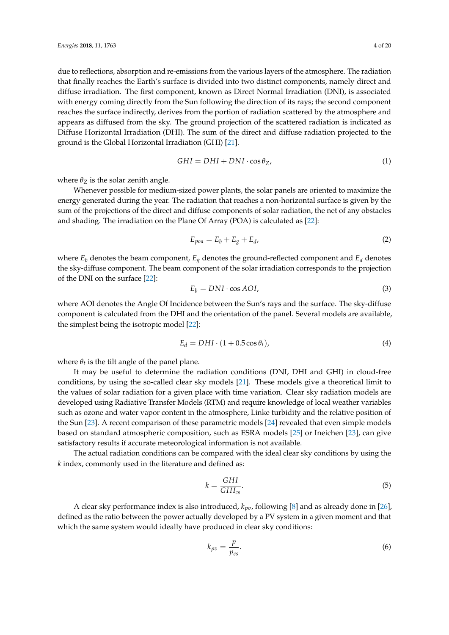due to reflections, absorption and re-emissions from the various layers of the atmosphere. The radiation that finally reaches the Earth's surface is divided into two distinct components, namely direct and diffuse irradiation. The first component, known as Direct Normal Irradiation (DNI), is associated with energy coming directly from the Sun following the direction of its rays; the second component reaches the surface indirectly, derives from the portion of radiation scattered by the atmosphere and appears as diffused from the sky. The ground projection of the scattered radiation is indicated as Diffuse Horizontal Irradiation (DHI). The sum of the direct and diffuse radiation projected to the ground is the Global Horizontal Irradiation (GHI) [\[21\]](#page-19-8).

$$
GHI = DHI + DNI \cdot \cos \theta_Z, \tag{1}
$$

where  $\theta$ *Z* is the solar zenith angle.

Whenever possible for medium-sized power plants, the solar panels are oriented to maximize the energy generated during the year. The radiation that reaches a non-horizontal surface is given by the sum of the projections of the direct and diffuse components of solar radiation, the net of any obstacles and shading. The irradiation on the Plane Of Array (POA) is calculated as [\[22\]](#page-19-9):

<span id="page-3-0"></span>
$$
E_{\rho o a} = E_b + E_g + E_d, \tag{2}
$$

where  $E_b$  denotes the beam component,  $E_g$  denotes the ground-reflected component and  $E_d$  denotes the sky-diffuse component. The beam component of the solar irradiation corresponds to the projection of the DNI on the surface [\[22\]](#page-19-9):

$$
E_b = DNI \cdot \cos AOI,\tag{3}
$$

where AOI denotes the Angle Of Incidence between the Sun's rays and the surface. The sky-diffuse component is calculated from the DHI and the orientation of the panel. Several models are available, the simplest being the isotropic model [\[22\]](#page-19-9):

<span id="page-3-1"></span>
$$
E_d = DHI \cdot (1 + 0.5 \cos \theta_t),\tag{4}
$$

where  $\theta_t$  is the tilt angle of the panel plane.

It may be useful to determine the radiation conditions (DNI, DHI and GHI) in cloud-free conditions, by using the so-called clear sky models [\[21\]](#page-19-8). These models give a theoretical limit to the values of solar radiation for a given place with time variation. Clear sky radiation models are developed using Radiative Transfer Models (RTM) and require knowledge of local weather variables such as ozone and water vapor content in the atmosphere, Linke turbidity and the relative position of the Sun [\[23\]](#page-19-10). A recent comparison of these parametric models [\[24\]](#page-19-11) revealed that even simple models based on standard atmospheric composition, such as ESRA models [\[25\]](#page-19-12) or Ineichen [\[23\]](#page-19-10), can give satisfactory results if accurate meteorological information is not available.

The actual radiation conditions can be compared with the ideal clear sky conditions by using the *k* index, commonly used in the literature and defined as:

<span id="page-3-2"></span>
$$
k = \frac{GHI}{GHI_{cs}}.\tag{5}
$$

A clear sky performance index is also introduced, *kpv*, following [\[8\]](#page-18-6) and as already done in [\[26\]](#page-19-13), defined as the ratio between the power actually developed by a PV system in a given moment and that which the same system would ideally have produced in clear sky conditions:

<span id="page-3-3"></span>
$$
k_{pv} = \frac{p}{p_{cs}}.\tag{6}
$$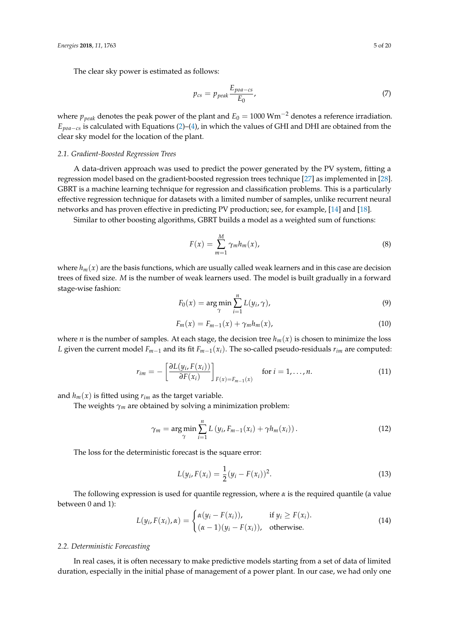The clear sky power is estimated as follows:

$$
p_{cs} = p_{peak} \frac{E_{poa-cs}}{E_0},\tag{7}
$$

where  $p_{peak}$  denotes the peak power of the plant and  $E_0 = 1000 \text{ Wm}^{-2}$  denotes a reference irradiation. *Epoa*−*cs* is calculated with Equations [\(2\)](#page-3-0)–[\(4\)](#page-3-1), in which the values of GHI and DHI are obtained from the clear sky model for the location of the plant.

#### *2.1. Gradient-Boosted Regression Trees*

A data-driven approach was used to predict the power generated by the PV system, fitting a regression model based on the gradient-boosted regression trees technique [\[27\]](#page-19-14) as implemented in [\[28\]](#page-19-15). GBRT is a machine learning technique for regression and classification problems. This is a particularly effective regression technique for datasets with a limited number of samples, unlike recurrent neural networks and has proven effective in predicting PV production; see, for example, [\[14\]](#page-19-1) and [\[18\]](#page-19-5).

Similar to other boosting algorithms, GBRT builds a model as a weighted sum of functions:

$$
F(x) = \sum_{m=1}^{M} \gamma_m h_m(x),
$$
\n(8)

where  $h_m(x)$  are the basis functions, which are usually called weak learners and in this case are decision trees of fixed size. *M* is the number of weak learners used. The model is built gradually in a forward stage-wise fashion:

$$
F_0(x) = \underset{\gamma}{\text{arg min}} \sum_{i=1}^n L(y_i, \gamma), \tag{9}
$$

$$
F_m(x) = F_{m-1}(x) + \gamma_m h_m(x),
$$
\n(10)

where *n* is the number of samples. At each stage, the decision tree  $h_m(x)$  is chosen to minimize the loss *L* given the current model  $F_{m-1}$  and its fit  $F_{m-1}(x_i)$ . The so-called pseudo-residuals  $r_{im}$  are computed:

$$
r_{im} = -\left[\frac{\partial L(y_i, F(x_i))}{\partial F(x_i)}\right]_{F(x) = F_{m-1}(x)} \quad \text{for } i = 1, \dots, n. \tag{11}
$$

and  $h_m(x)$  is fitted using  $r_{im}$  as the target variable.

The weights  $\gamma_m$  are obtained by solving a minimization problem:

$$
\gamma_m = \arg\min_{\gamma} \sum_{i=1}^n L\left(y_i, F_{m-1}(x_i) + \gamma h_m(x_i)\right). \tag{12}
$$

The loss for the deterministic forecast is the square error:

$$
L(y_i, F(x_i) = \frac{1}{2}(y_i - F(x_i))^2.
$$
 (13)

The following expression is used for quantile regression, where  $\alpha$  is the required quantile (a value between 0 and 1):

<span id="page-4-1"></span>
$$
L(y_i, F(x_i), \alpha) = \begin{cases} \alpha(y_i - F(x_i)), & \text{if } y_i \ge F(x_i).\\ (\alpha - 1)(y_i - F(x_i)), & \text{otherwise.} \end{cases}
$$
(14)

### <span id="page-4-0"></span>*2.2. Deterministic Forecasting*

In real cases, it is often necessary to make predictive models starting from a set of data of limited duration, especially in the initial phase of management of a power plant. In our case, we had only one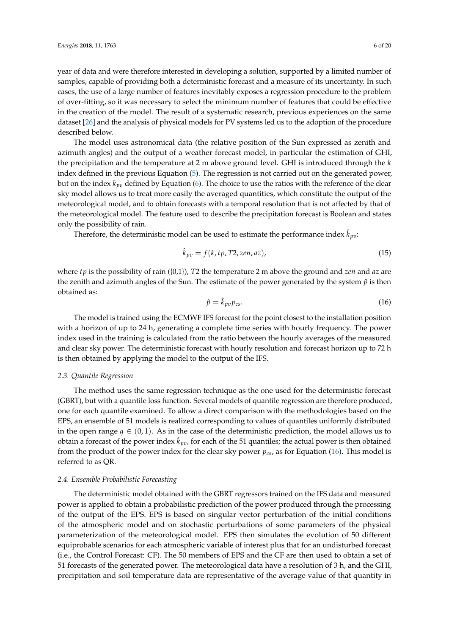year of data and were therefore interested in developing a solution, supported by a limited number of samples, capable of providing both a deterministic forecast and a measure of its uncertainty. In such cases, the use of a large number of features inevitably exposes a regression procedure to the problem of over-fitting, so it was necessary to select the minimum number of features that could be effective in the creation of the model. The result of a systematic research, previous experiences on the same dataset [\[26\]](#page-19-13) and the analysis of physical models for PV systems led us to the adoption of the procedure described below.

The model uses astronomical data (the relative position of the Sun expressed as zenith and azimuth angles) and the output of a weather forecast model, in particular the estimation of GHI, the precipitation and the temperature at 2 m above ground level. GHI is introduced through the *k* index defined in the previous Equation [\(5\)](#page-3-2). The regression is not carried out on the generated power, but on the index *kpv* defined by Equation [\(6\)](#page-3-3). The choice to use the ratios with the reference of the clear sky model allows us to treat more easily the averaged quantities, which constitute the output of the meteorological model, and to obtain forecasts with a temporal resolution that is not affected by that of the meteorological model. The feature used to describe the precipitation forecast is Boolean and states only the possibility of rain.

Therefore, the deterministic model can be used to estimate the performance index  $\hat{k}_{pv}$ :

$$
\hat{k}_{pv} = f(k, tp, T2, zen, az),\tag{15}
$$

where *tp* is the possibility of rain ({0,1}), *T*2 the temperature 2 m above the ground and *zen* and *az* are the zenith and azimuth angles of the Sun. The estimate of the power generated by the system  $\hat{p}$  is then obtained as:

<span id="page-5-0"></span>
$$
\hat{p} = \hat{k}_{pv} p_{cs}.
$$
\n(16)

The model is trained using the ECMWF IFS forecast for the point closest to the installation position with a horizon of up to 24 h, generating a complete time series with hourly frequency. The power index used in the training is calculated from the ratio between the hourly averages of the measured and clear sky power. The deterministic forecast with hourly resolution and forecast horizon up to 72 h is then obtained by applying the model to the output of the IFS.

#### *2.3. Quantile Regression*

The method uses the same regression technique as the one used for the deterministic forecast (GBRT), but with a quantile loss function. Several models of quantile regression are therefore produced, one for each quantile examined. To allow a direct comparison with the methodologies based on the EPS, an ensemble of 51 models is realized corresponding to values of quantiles uniformly distributed in the open range  $q \in (0,1)$ . As in the case of the deterministic prediction, the model allows us to obtain a forecast of the power index  $\hat{k}_{pv}$ , for each of the 51 quantiles; the actual power is then obtained from the product of the power index for the clear sky power *pcs*, as for Equation [\(16\)](#page-5-0). This model is referred to as QR.

#### *2.4. Ensemble Probabilistic Forecasting*

The deterministic model obtained with the GBRT regressors trained on the IFS data and measured power is applied to obtain a probabilistic prediction of the power produced through the processing of the output of the EPS. EPS is based on singular vector perturbation of the initial conditions of the atmospheric model and on stochastic perturbations of some parameters of the physical parameterization of the meteorological model. EPS then simulates the evolution of 50 different equiprobable scenarios for each atmospheric variable of interest plus that for an undisturbed forecast (i.e., the Control Forecast: CF). The 50 members of EPS and the CF are then used to obtain a set of 51 forecasts of the generated power. The meteorological data have a resolution of 3 h, and the GHI, precipitation and soil temperature data are representative of the average value of that quantity in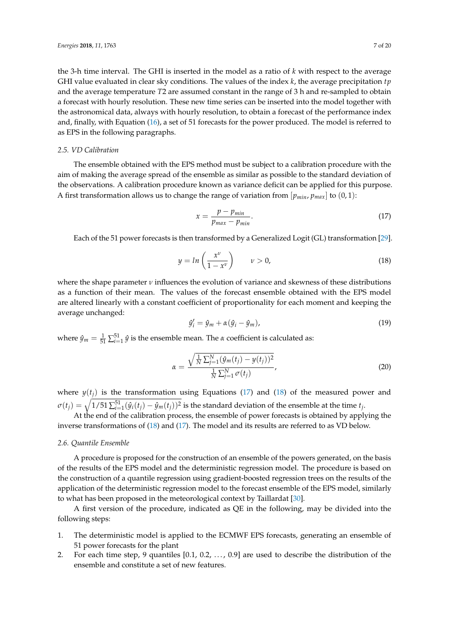the 3-h time interval. The GHI is inserted in the model as a ratio of *k* with respect to the average GHI value evaluated in clear sky conditions. The values of the index *k*, the average precipitation *tp* and the average temperature *T*2 are assumed constant in the range of 3 h and re-sampled to obtain a forecast with hourly resolution. These new time series can be inserted into the model together with the astronomical data, always with hourly resolution, to obtain a forecast of the performance index and, finally, with Equation [\(16\)](#page-5-0), a set of 51 forecasts for the power produced. The model is referred to as EPS in the following paragraphs.

### <span id="page-6-2"></span>*2.5. VD Calibration*

The ensemble obtained with the EPS method must be subject to a calibration procedure with the aim of making the average spread of the ensemble as similar as possible to the standard deviation of the observations. A calibration procedure known as variance deficit can be applied for this purpose. A first transformation allows us to change the range of variation from  $[p_{min}, p_{max}]$  to  $(0, 1)$ :

<span id="page-6-0"></span>
$$
x = \frac{p - p_{min}}{p_{max} - p_{min}}.\tag{17}
$$

Each of the 51 power forecasts is then transformed by a Generalized Logit (GL) transformation [\[29\]](#page-19-16).

<span id="page-6-1"></span>
$$
y = \ln\left(\frac{x^{\nu}}{1 - x^{\nu}}\right) \qquad \nu > 0,
$$
\n(18)

where the shape parameter  $\nu$  influences the evolution of variance and skewness of these distributions as a function of their mean. The values of the forecast ensemble obtained with the EPS model are altered linearly with a constant coefficient of proportionality for each moment and keeping the average unchanged:

$$
\hat{y}'_i = \hat{y}_m + \alpha(\hat{y}_i - \hat{y}_m),\tag{19}
$$

where  $\hat{y}_m = \frac{1}{51} \sum_{i=1}^{51} \hat{y}$  is the ensemble mean. The *α* coefficient is calculated as:

$$
\alpha = \frac{\sqrt{\frac{1}{N} \sum_{j=1}^{N} (\hat{y}_m(t_j) - y(t_j))^2}}{\frac{1}{N} \sum_{j=1}^{N} \sigma(t_j)},
$$
\n(20)

where  $y(t_i)$  is the transformation using Equations [\(17\)](#page-6-0) and [\(18\)](#page-6-1) of the measured power and  $\sigma(t_j) = \sqrt{1/51\sum_{i=1}^{51}(\hat{y}_i(t_j)-\hat{y}_m(t_j))^2}$  is the standard deviation of the ensemble at the time  $t_j$ .

At the end of the calibration process, the ensemble of power forecasts is obtained by applying the inverse transformations of [\(18\)](#page-6-1) and [\(17\)](#page-6-0). The model and its results are referred to as VD below.

## *2.6. Quantile Ensemble*

A procedure is proposed for the construction of an ensemble of the powers generated, on the basis of the results of the EPS model and the deterministic regression model. The procedure is based on the construction of a quantile regression using gradient-boosted regression trees on the results of the application of the deterministic regression model to the forecast ensemble of the EPS model, similarly to what has been proposed in the meteorological context by Taillardat [\[30\]](#page-19-17).

A first version of the procedure, indicated as QE in the following, may be divided into the following steps:

- 1. The deterministic model is applied to the ECMWF EPS forecasts, generating an ensemble of 51 power forecasts for the plant
- 2. For each time step, 9 quantiles [0.1, 0.2, . . . , 0.9] are used to describe the distribution of the ensemble and constitute a set of new features.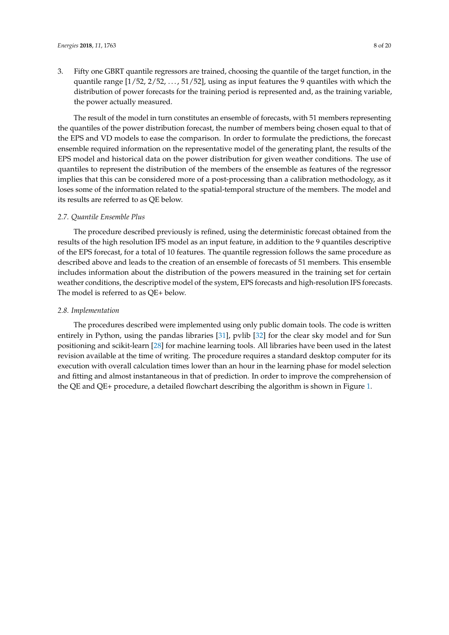3. Fifty one GBRT quantile regressors are trained, choosing the quantile of the target function, in the quantile range  $[1/52, 2/52, ..., 51/52]$ , using as input features the 9 quantiles with which the distribution of power forecasts for the training period is represented and, as the training variable, the power actually measured.

The result of the model in turn constitutes an ensemble of forecasts, with 51 members representing the quantiles of the power distribution forecast, the number of members being chosen equal to that of the EPS and VD models to ease the comparison. In order to formulate the predictions, the forecast ensemble required information on the representative model of the generating plant, the results of the EPS model and historical data on the power distribution for given weather conditions. The use of quantiles to represent the distribution of the members of the ensemble as features of the regressor implies that this can be considered more of a post-processing than a calibration methodology, as it loses some of the information related to the spatial-temporal structure of the members. The model and its results are referred to as QE below.

#### <span id="page-7-0"></span>*2.7. Quantile Ensemble Plus*

The procedure described previously is refined, using the deterministic forecast obtained from the results of the high resolution IFS model as an input feature, in addition to the 9 quantiles descriptive of the EPS forecast, for a total of 10 features. The quantile regression follows the same procedure as described above and leads to the creation of an ensemble of forecasts of 51 members. This ensemble includes information about the distribution of the powers measured in the training set for certain weather conditions, the descriptive model of the system, EPS forecasts and high-resolution IFS forecasts. The model is referred to as QE+ below.

#### *2.8. Implementation*

The procedures described were implemented using only public domain tools. The code is written entirely in Python, using the pandas libraries [\[31\]](#page-19-18), pvlib [\[32\]](#page-19-19) for the clear sky model and for Sun positioning and scikit-learn [\[28\]](#page-19-15) for machine learning tools. All libraries have been used in the latest revision available at the time of writing. The procedure requires a standard desktop computer for its execution with overall calculation times lower than an hour in the learning phase for model selection and fitting and almost instantaneous in that of prediction. In order to improve the comprehension of the QE and QE+ procedure, a detailed flowchart describing the algorithm is shown in Figure [1.](#page-8-1)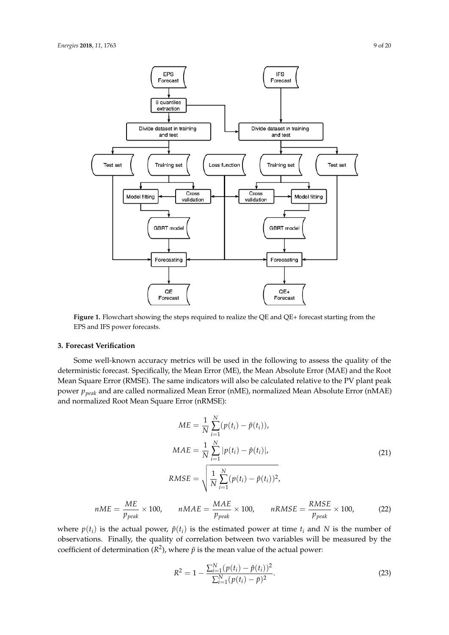<span id="page-8-1"></span>

**Figure 1.** Flowchart showing the steps required to realize the QE and QE+ forecast starting from the EPS and IFS power forecasts.

### <span id="page-8-0"></span>**3. Forecast Verification**

Some well-known accuracy metrics will be used in the following to assess the quality of the deterministic forecast. Specifically, the Mean Error (ME), the Mean Absolute Error (MAE) and the Root Mean Square Error (RMSE). The same indicators will also be calculated relative to the PV plant peak power *ppeak* and are called normalized Mean Error (nME), normalized Mean Absolute Error (nMAE) and normalized Root Mean Square Error (nRMSE):

$$
ME = \frac{1}{N} \sum_{i=1}^{N} (p(t_i) - \hat{p}(t_i)),
$$
  
\n
$$
MAE = \frac{1}{N} \sum_{i=1}^{N} |p(t_i) - \hat{p}(t_i)|,
$$
  
\n
$$
RMSE = \sqrt{\frac{1}{N} \sum_{i=1}^{N} (p(t_i) - \hat{p}(t_i))^2},
$$
  
\n
$$
nME = \frac{ME}{p_{peak}} \times 100, \qquad nMAE = \frac{MAE}{p_{peak}} \times 100, \qquad nRMSE = \frac{RMSE}{p_{peak}} \times 100,
$$
\n(22)

where  $p(t_i)$  is the actual power,  $\hat{p}(t_i)$  is the estimated power at time  $t_i$  and N is the number of observations. Finally, the quality of correlation between two variables will be measured by the coefficient of determination ( $R^2$ ), where  $\bar{p}$  is the mean value of the actual power:

$$
R^{2} = 1 - \frac{\sum_{i=1}^{N} (p(t_{i}) - \hat{p}(t_{i}))^{2}}{\sum_{i=1}^{N} (p(t_{i}) - \bar{p})^{2}}.
$$
\n(23)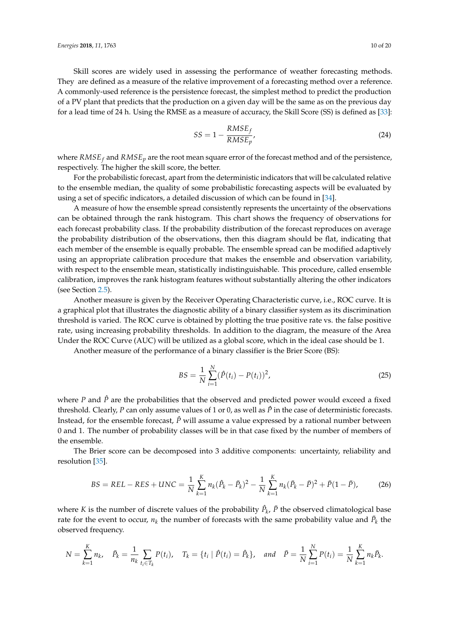Skill scores are widely used in assessing the performance of weather forecasting methods. They are defined as a measure of the relative improvement of a forecasting method over a reference. A commonly-used reference is the persistence forecast, the simplest method to predict the production of a PV plant that predicts that the production on a given day will be the same as on the previous day for a lead time of 24 h. Using the RMSE as a measure of accuracy, the Skill Score (SS) is defined as [\[33\]](#page-19-20):

$$
SS = 1 - \frac{RMSE_f}{RMSE_p},\tag{24}
$$

where  $RMSE_f$  and  $RMSE_p$  are the root mean square error of the forecast method and of the persistence, respectively. The higher the skill score, the better.

For the probabilistic forecast, apart from the deterministic indicators that will be calculated relative to the ensemble median, the quality of some probabilistic forecasting aspects will be evaluated by using a set of specific indicators, a detailed discussion of which can be found in [\[34\]](#page-19-21).

A measure of how the ensemble spread consistently represents the uncertainty of the observations can be obtained through the rank histogram. This chart shows the frequency of observations for each forecast probability class. If the probability distribution of the forecast reproduces on average the probability distribution of the observations, then this diagram should be flat, indicating that each member of the ensemble is equally probable. The ensemble spread can be modified adaptively using an appropriate calibration procedure that makes the ensemble and observation variability, with respect to the ensemble mean, statistically indistinguishable. This procedure, called ensemble calibration, improves the rank histogram features without substantially altering the other indicators (see Section [2.5\)](#page-6-2).

Another measure is given by the Receiver Operating Characteristic curve, i.e., ROC curve. It is a graphical plot that illustrates the diagnostic ability of a binary classifier system as its discrimination threshold is varied. The ROC curve is obtained by plotting the true positive rate vs. the false positive rate, using increasing probability thresholds. In addition to the diagram, the measure of the Area Under the ROC Curve (AUC) will be utilized as a global score, which in the ideal case should be 1.

Another measure of the performance of a binary classifier is the Brier Score (BS):

$$
BS = \frac{1}{N} \sum_{i=1}^{N} (\hat{P}(t_i) - P(t_i))^2,
$$
\n(25)

where *P* and  $\hat{P}$  are the probabilities that the observed and predicted power would exceed a fixed threshold. Clearly, *P* can only assume values of 1 or 0, as well as  $\hat{P}$  in the case of deterministic forecasts. Instead, for the ensemble forecast,  $\hat{P}$  will assume a value expressed by a rational number between 0 and 1. The number of probability classes will be in that case fixed by the number of members of the ensemble.

The Brier score can be decomposed into 3 additive components: uncertainty, reliability and resolution [\[35\]](#page-19-22).

$$
BS = REL - RES + UNC = \frac{1}{N} \sum_{k=1}^{K} n_k (\hat{P}_k - \bar{P}_k)^2 - \frac{1}{N} \sum_{k=1}^{K} n_k (\bar{P}_k - \bar{P})^2 + \bar{P}(1 - \bar{P}),
$$
(26)

where *K* is the number of discrete values of the probability  $\hat{P}_k$ ,  $\bar{P}$  the observed climatological base rate for the event to occur,  $n_k$  the number of forecasts with the same probability value and  $\bar{P}_k$  the observed frequency.

$$
N = \sum_{k=1}^{K} n_k, \quad \bar{P}_k = \frac{1}{n_k} \sum_{t_i \in T_k} P(t_i), \quad T_k = \{t_i \mid \hat{P}(t_i) = \hat{P}_k\}, \quad \text{and} \quad \bar{P} = \frac{1}{N} \sum_{i=1}^{N} P(t_i) = \frac{1}{N} \sum_{k=1}^{K} n_k \bar{P}_k.
$$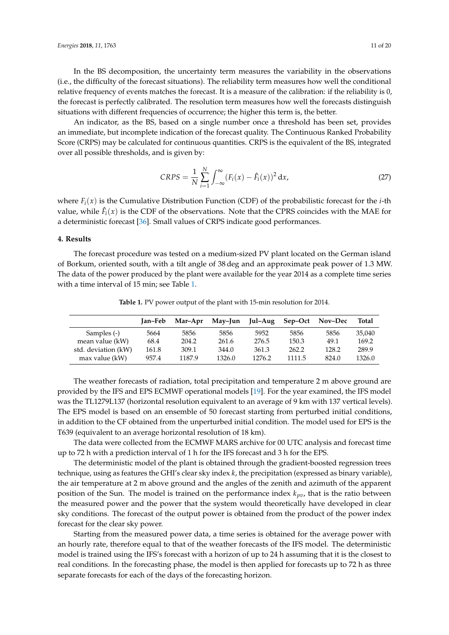In the BS decomposition, the uncertainty term measures the variability in the observations (i.e., the difficulty of the forecast situations). The reliability term measures how well the conditional relative frequency of events matches the forecast. It is a measure of the calibration: if the reliability is 0, the forecast is perfectly calibrated. The resolution term measures how well the forecasts distinguish situations with different frequencies of occurrence; the higher this term is, the better.

An indicator, as the BS, based on a single number once a threshold has been set, provides an immediate, but incomplete indication of the forecast quality. The Continuous Ranked Probability Score (CRPS) may be calculated for continuous quantities. CRPS is the equivalent of the BS, integrated over all possible thresholds, and is given by:

$$
CRPS = \frac{1}{N} \sum_{i=1}^{N} \int_{-\infty}^{\infty} (F_i(x) - \hat{F}_i(x))^2 dx,
$$
 (27)

where  $F_i(x)$  is the Cumulative Distribution Function (CDF) of the probabilistic forecast for the *i*-th value, while  $\hat{F}_i(x)$  is the CDF of the observations. Note that the CPRS coincides with the MAE for a deterministic forecast [\[36\]](#page-19-23). Small values of CRPS indicate good performances.

## <span id="page-10-0"></span>**4. Results**

The forecast procedure was tested on a medium-sized PV plant located on the German island of Borkum, oriented south, with a tilt angle of 38 deg and an approximate peak power of 1.3 MW. The data of the power produced by the plant were available for the year 2014 as a complete time series with a time interval of 15 min; see Table [1.](#page-10-1)

**Table 1.** PV power output of the plant with 15-min resolution for 2014.

<span id="page-10-1"></span>

|                     | Jan–Feb | Mar-Apr | May–Jun | Jul–Aug | Sep–Oct | Nov-Dec | Total  |
|---------------------|---------|---------|---------|---------|---------|---------|--------|
| Samples (-)         | 5664    | 5856    | 5856    | 5952    | 5856    | 5856    | 35,040 |
| mean value (kW)     | 68.4    | 204.2   | 261.6   | 276.5   | 150.3   | 49.1    | 169.2  |
| std. deviation (kW) | 161.8   | 309.1   | 344.0   | 361.3   | 262.2   | 128.2   | 289.9  |
| max value (kW)      | 957.4   | 1187.9  | 1326.0  | 1276.2  | 1111.5  | 824.0   | 1326.0 |

The weather forecasts of radiation, total precipitation and temperature 2 m above ground are provided by the IFS and EPS ECMWF operational models [\[19\]](#page-19-6). For the year examined, the IFS model was the TL1279L137 (horizontal resolution equivalent to an average of 9 km with 137 vertical levels). The EPS model is based on an ensemble of 50 forecast starting from perturbed initial conditions, in addition to the CF obtained from the unperturbed initial condition. The model used for EPS is the T639 (equivalent to an average horizontal resolution of 18 km).

The data were collected from the ECMWF MARS archive for 00 UTC analysis and forecast time up to 72 h with a prediction interval of 1 h for the IFS forecast and 3 h for the EPS.

The deterministic model of the plant is obtained through the gradient-boosted regression trees technique, using as features the GHI's clear sky index *k*, the precipitation (expressed as binary variable), the air temperature at 2 m above ground and the angles of the zenith and azimuth of the apparent position of the Sun. The model is trained on the performance index *kpv*, that is the ratio between the measured power and the power that the system would theoretically have developed in clear sky conditions. The forecast of the output power is obtained from the product of the power index forecast for the clear sky power.

Starting from the measured power data, a time series is obtained for the average power with an hourly rate, therefore equal to that of the weather forecasts of the IFS model. The deterministic model is trained using the IFS's forecast with a horizon of up to 24 h assuming that it is the closest to real conditions. In the forecasting phase, the model is then applied for forecasts up to 72 h as three separate forecasts for each of the days of the forecasting horizon.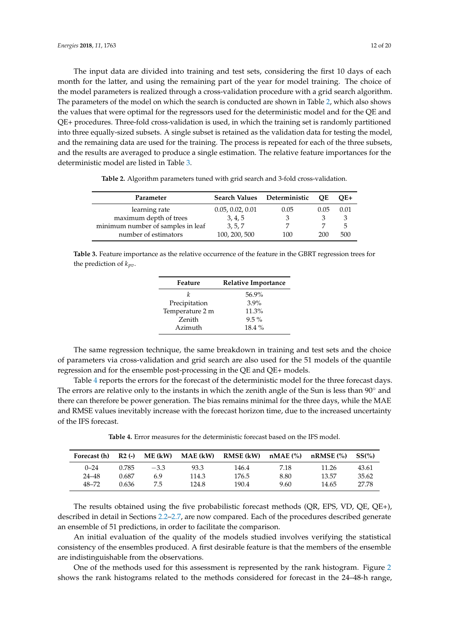The input data are divided into training and test sets, considering the first 10 days of each month for the latter, and using the remaining part of the year for model training. The choice of the model parameters is realized through a cross-validation procedure with a grid search algorithm. The parameters of the model on which the search is conducted are shown in Table [2,](#page-11-0) which also shows the values that were optimal for the regressors used for the deterministic model and for the QE and QE+ procedures. Three-fold cross-validation is used, in which the training set is randomly partitioned into three equally-sized subsets. A single subset is retained as the validation data for testing the model, and the remaining data are used for the training. The process is repeated for each of the three subsets, and the results are averaged to produce a single estimation. The relative feature importances for the deterministic model are listed in Table [3.](#page-11-1)

<span id="page-11-0"></span>

| Parameter                         |                  | Search Values Deterministic | <b>OE</b> | OE+  |
|-----------------------------------|------------------|-----------------------------|-----------|------|
| learning rate                     | 0.05, 0.02, 0.01 | 0.05                        | 0.05      | 0.01 |
| maximum depth of trees            | 3, 4, 5          | 3                           |           | -3   |
| minimum number of samples in leaf | 3.5.7            |                             |           | 5    |
| number of estimators              | 100, 200, 500    | 100                         | 200       | 500  |

**Table 2.** Algorithm parameters tuned with grid search and 3-fold cross-validation.

<span id="page-11-1"></span>**Table 3.** Feature importance as the relative occurrence of the feature in the GBRT regression trees for the prediction of *kpv*.

| Feature         | Relative Importance |
|-----------------|---------------------|
| k               | 56.9%               |
| Precipitation   | $3.9\%$             |
| Temperature 2 m | 11.3%               |
| Zenith          | $9.5\%$             |
| Azimuth         | $18.4 \%$           |

The same regression technique, the same breakdown in training and test sets and the choice of parameters via cross-validation and grid search are also used for the 51 models of the quantile regression and for the ensemble post-processing in the QE and QE+ models.

Table [4](#page-11-2) reports the errors for the forecast of the deterministic model for the three forecast days. The errors are relative only to the instants in which the zenith angle of the Sun is less than 90◦ and there can therefore be power generation. The bias remains minimal for the three days, while the MAE and RMSE values inevitably increase with the forecast horizon time, due to the increased uncertainty of the IFS forecast.

**Table 4.** Error measures for the deterministic forecast based on the IFS model.

<span id="page-11-2"></span>

| Forecast (h) | $R2$ (-) | ME (kW) | MAE (kW) | RMSE (kW) | $nMAE$ (%) | nRMSE (%) | SS(%) |
|--------------|----------|---------|----------|-----------|------------|-----------|-------|
| $0 - 24$     | 0.785    | $-3.3$  | 93.3     | 146.4     | 7.18       | 11.26     | 43.61 |
| 24–48        | 0.687    | 6.9     | 114.3    | 176.5     | 8.80       | 13.57     | 35.62 |
| 48-72        | 0.636    | 7.5     | 124.8    | 190.4     | 9.60       | 14.65     | 27.78 |

The results obtained using the five probabilistic forecast methods (QR, EPS, VD, QE, QE+), described in detail in Sections [2.2](#page-4-0)[–2.7,](#page-7-0) are now compared. Each of the procedures described generate an ensemble of 51 predictions, in order to facilitate the comparison.

An initial evaluation of the quality of the models studied involves verifying the statistical consistency of the ensembles produced. A first desirable feature is that the members of the ensemble are indistinguishable from the observations.

One of the methods used for this assessment is represented by the rank histogram. Figure [2](#page-12-0) shows the rank histograms related to the methods considered for forecast in the 24–48-h range,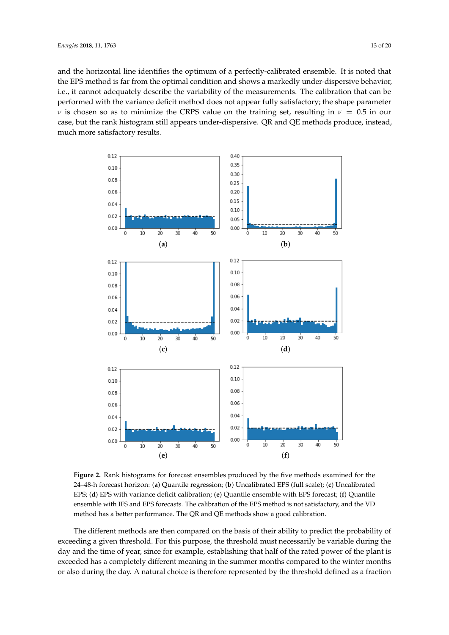and the horizontal line identifies the optimum of a perfectly-calibrated ensemble. It is noted that the EPS method is far from the optimal condition and shows a markedly under-dispersive behavior, i.e., it cannot adequately describe the variability of the measurements. The calibration that can be performed with the variance deficit method does not appear fully satisfactory; the shape parameter *ν* is chosen so as to minimize the CRPS value on the training set, resulting in  $\nu = 0.5$  in our case, but the rank histogram still appears under-dispersive. QR and QE methods produce, instead, much more satisfactory results.

<span id="page-12-0"></span>

**Figure 2.** Rank histograms for forecast ensembles produced by the five methods examined for the 24–48-h forecast horizon: (**a**) Quantile regression; (**b**) Uncalibrated EPS (full scale); (**c**) Uncalibrated EPS; (**d**) EPS with variance deficit calibration; (**e**) Quantile ensemble with EPS forecast; (**f**) Quantile ensemble with IFS and EPS forecasts. The calibration of the EPS method is not satisfactory, and the VD method has a better performance. The QR and QE methods show a good calibration.

The different methods are then compared on the basis of their ability to predict the probability of exceeding a given threshold. For this purpose, the threshold must necessarily be variable during the day and the time of year, since for example, establishing that half of the rated power of the plant is exceeded has a completely different meaning in the summer months compared to the winter months or also during the day. A natural choice is therefore represented by the threshold defined as a fraction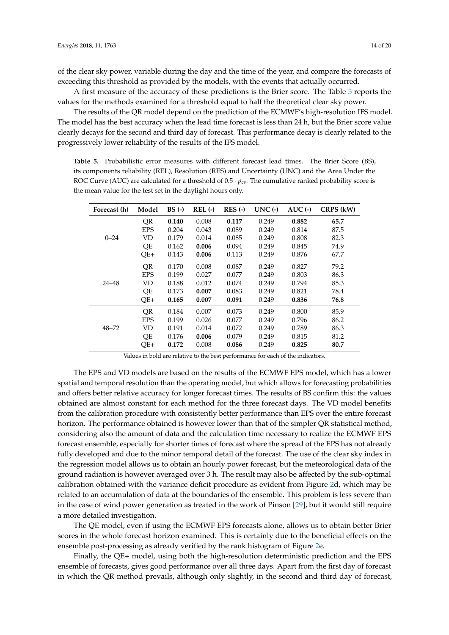of the clear sky power, variable during the day and the time of the year, and compare the forecasts of exceeding this threshold as provided by the models, with the events that actually occurred.

A first measure of the accuracy of these predictions is the Brier score. The Table [5](#page-13-0) reports the values for the methods examined for a threshold equal to half the theoretical clear sky power.

The results of the QR model depend on the prediction of the ECMWF's high-resolution IFS model. The model has the best accuracy when the lead time forecast is less than 24 h, but the Brier score value clearly decays for the second and third day of forecast. This performance decay is clearly related to the progressively lower reliability of the results of the IFS model.

<span id="page-13-0"></span>**Table 5.** Probabilistic error measures with different forecast lead times. The Brier Score (BS), its components reliability (REL), Resolution (RES) and Uncertainty (UNC) and the Area Under the ROC Curve (AUC) are calculated for a threshold of  $0.5 \cdot p_{cs}$ . The cumulative ranked probability score is the mean value for the test set in the daylight hours only.

| Forecast (h) | Model      | $BS(-)$ | $REL$ $(-)$ | $RES$ (-) | UNC(4) | $AUC$ (-) | CRPS (kW) |
|--------------|------------|---------|-------------|-----------|--------|-----------|-----------|
|              | QR         | 0.140   | 0.008       | 0.117     | 0.249  | 0.882     | 65.7      |
|              | <b>EPS</b> | 0.204   | 0.043       | 0.089     | 0.249  | 0.814     | 87.5      |
| $0 - 24$     | VD         | 0.179   | 0.014       | 0.085     | 0.249  | 0.808     | 82.3      |
|              | QE         | 0.162   | 0.006       | 0.094     | 0.249  | 0.845     | 74.9      |
|              | $QE+$      | 0.143   | 0.006       | 0.113     | 0.249  | 0.876     | 67.7      |
|              | QR         | 0.170   | 0.008       | 0.087     | 0.249  | 0.827     | 79.2      |
|              | <b>EPS</b> | 0.199   | 0.027       | 0.077     | 0.249  | 0.803     | 86.3      |
| $24 - 48$    | VD         | 0.188   | 0.012       | 0.074     | 0.249  | 0.794     | 85.3      |
|              | QE         | 0.173   | 0.007       | 0.083     | 0.249  | 0.821     | 78.4      |
|              | $OE+$      | 0.165   | 0.007       | 0.091     | 0.249  | 0.836     | 76.8      |
|              | QR         | 0.184   | 0.007       | 0.073     | 0.249  | 0.800     | 85.9      |
|              | <b>EPS</b> | 0.199   | 0.026       | 0.077     | 0.249  | 0.796     | 86.2      |
| $48 - 72$    | VD         | 0.191   | 0.014       | 0.072     | 0.249  | 0.789     | 86.3      |
|              | QE         | 0.176   | 0.006       | 0.079     | 0.249  | 0.815     | 81.2      |
|              | $QE+$      | 0.172   | 0.008       | 0.086     | 0.249  | 0.825     | 80.7      |

Values in bold are relative to the best performance for each of the indicators.

The EPS and VD models are based on the results of the ECMWF EPS model, which has a lower spatial and temporal resolution than the operating model, but which allows for forecasting probabilities and offers better relative accuracy for longer forecast times. The results of BS confirm this: the values obtained are almost constant for each method for the three forecast days. The VD model benefits from the calibration procedure with consistently better performance than EPS over the entire forecast horizon. The performance obtained is however lower than that of the simpler QR statistical method, considering also the amount of data and the calculation time necessary to realize the ECMWF EPS forecast ensemble, especially for shorter times of forecast where the spread of the EPS has not already fully developed and due to the minor temporal detail of the forecast. The use of the clear sky index in the regression model allows us to obtain an hourly power forecast, but the meteorological data of the ground radiation is however averaged over 3 h. The result may also be affected by the sub-optimal calibration obtained with the variance deficit procedure as evident from Figure [2d](#page-12-0), which may be related to an accumulation of data at the boundaries of the ensemble. This problem is less severe than in the case of wind power generation as treated in the work of Pinson [\[29\]](#page-19-16), but it would still require a more detailed investigation.

The QE model, even if using the ECMWF EPS forecasts alone, allows us to obtain better Brier scores in the whole forecast horizon examined. This is certainly due to the beneficial effects on the ensemble post-processing as already verified by the rank histogram of Figure [2e](#page-12-0).

Finally, the QE+ model, using both the high-resolution deterministic prediction and the EPS ensemble of forecasts, gives good performance over all three days. Apart from the first day of forecast in which the QR method prevails, although only slightly, in the second and third day of forecast,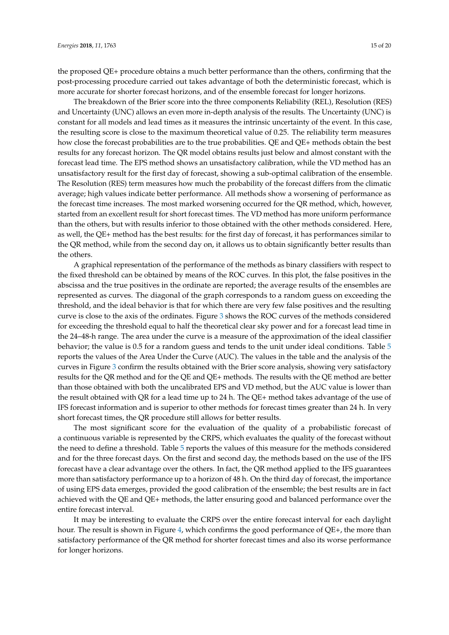the proposed QE+ procedure obtains a much better performance than the others, confirming that the post-processing procedure carried out takes advantage of both the deterministic forecast, which is more accurate for shorter forecast horizons, and of the ensemble forecast for longer horizons.

The breakdown of the Brier score into the three components Reliability (REL), Resolution (RES) and Uncertainty (UNC) allows an even more in-depth analysis of the results. The Uncertainty (UNC) is constant for all models and lead times as it measures the intrinsic uncertainty of the event. In this case, the resulting score is close to the maximum theoretical value of 0.25. The reliability term measures how close the forecast probabilities are to the true probabilities. QE and QE+ methods obtain the best results for any forecast horizon. The QR model obtains results just below and almost constant with the forecast lead time. The EPS method shows an unsatisfactory calibration, while the VD method has an unsatisfactory result for the first day of forecast, showing a sub-optimal calibration of the ensemble. The Resolution (RES) term measures how much the probability of the forecast differs from the climatic average; high values indicate better performance. All methods show a worsening of performance as the forecast time increases. The most marked worsening occurred for the QR method, which, however, started from an excellent result for short forecast times. The VD method has more uniform performance than the others, but with results inferior to those obtained with the other methods considered. Here, as well, the QE+ method has the best results: for the first day of forecast, it has performances similar to the QR method, while from the second day on, it allows us to obtain significantly better results than the others.

A graphical representation of the performance of the methods as binary classifiers with respect to the fixed threshold can be obtained by means of the ROC curves. In this plot, the false positives in the abscissa and the true positives in the ordinate are reported; the average results of the ensembles are represented as curves. The diagonal of the graph corresponds to a random guess on exceeding the threshold, and the ideal behavior is that for which there are very few false positives and the resulting curve is close to the axis of the ordinates. Figure [3](#page-15-0) shows the ROC curves of the methods considered for exceeding the threshold equal to half the theoretical clear sky power and for a forecast lead time in the 24–48-h range. The area under the curve is a measure of the approximation of the ideal classifier behavior; the value is 0.5 for a random guess and tends to the unit under ideal conditions. Table [5](#page-13-0) reports the values of the Area Under the Curve (AUC). The values in the table and the analysis of the curves in Figure [3](#page-15-0) confirm the results obtained with the Brier score analysis, showing very satisfactory results for the QR method and for the QE and QE+ methods. The results with the QE method are better than those obtained with both the uncalibrated EPS and VD method, but the AUC value is lower than the result obtained with QR for a lead time up to 24 h. The QE+ method takes advantage of the use of IFS forecast information and is superior to other methods for forecast times greater than 24 h. In very short forecast times, the QR procedure still allows for better results.

The most significant score for the evaluation of the quality of a probabilistic forecast of a continuous variable is represented by the CRPS, which evaluates the quality of the forecast without the need to define a threshold. Table [5](#page-13-0) reports the values of this measure for the methods considered and for the three forecast days. On the first and second day, the methods based on the use of the IFS forecast have a clear advantage over the others. In fact, the QR method applied to the IFS guarantees more than satisfactory performance up to a horizon of 48 h. On the third day of forecast, the importance of using EPS data emerges, provided the good calibration of the ensemble; the best results are in fact achieved with the QE and QE+ methods, the latter ensuring good and balanced performance over the entire forecast interval.

It may be interesting to evaluate the CRPS over the entire forecast interval for each daylight hour. The result is shown in Figure [4,](#page-15-1) which confirms the good performance of QE+, the more than satisfactory performance of the QR method for shorter forecast times and also its worse performance for longer horizons.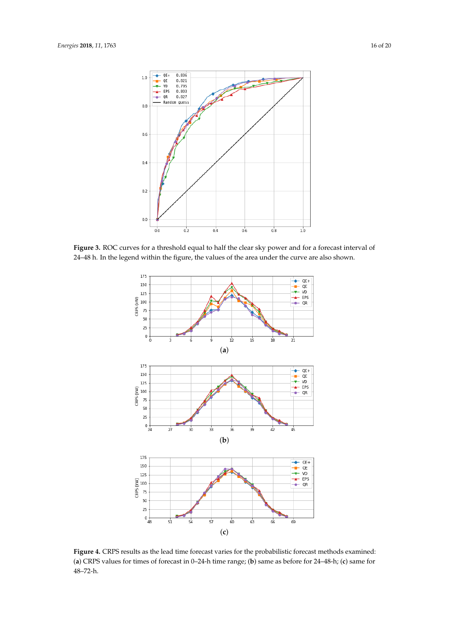<span id="page-15-0"></span>

<span id="page-15-1"></span>**Figure 3.** ROC curves for a threshold equal to half the clear sky power and for a forecast interval of 24–48 h. In the legend within the figure, the values of the area under the curve are also shown.



**Figure 4.** CRPS results as the lead time forecast varies for the probabilistic forecast methods examined: (**a**) CRPS values for times of forecast in 0–24-h time range; (**b**) same as before for 24–48-h; (**c**) same for 48–72-h.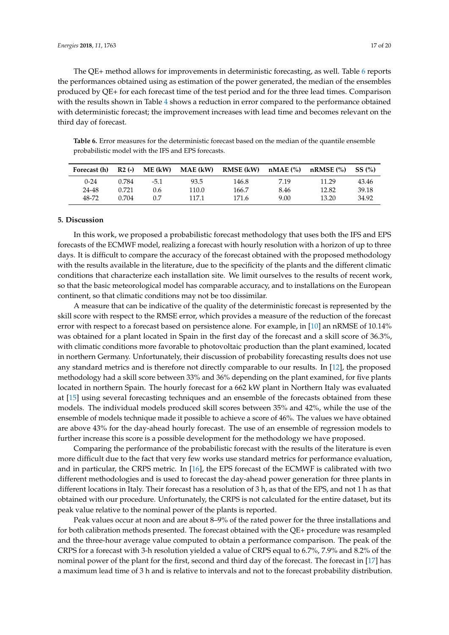The QE+ method allows for improvements in deterministic forecasting, as well. Table [6](#page-16-1) reports the performances obtained using as estimation of the power generated, the median of the ensembles produced by QE+ for each forecast time of the test period and for the three lead times. Comparison with the results shown in Table [4](#page-11-2) shows a reduction in error compared to the performance obtained with deterministic forecast; the improvement increases with lead time and becomes relevant on the third day of forecast.

<span id="page-16-1"></span>**Table 6.** Error measures for the deterministic forecast based on the median of the quantile ensemble probabilistic model with the IFS and EPS forecasts.

| Forecast (h) | R <sub>2</sub> (-) | ME (kW) | MAE (kW) | RMSE (kW) | $nMAE$ (%) | $nRMSE$ (%) | SS(%) |
|--------------|--------------------|---------|----------|-----------|------------|-------------|-------|
| $0 - 24$     | 0.784              | $-5.1$  | 93.5     | 146.8     | 7.19       | 11.29       | 43.46 |
| 24-48        | 0.721              | 1.6     | 110.0    | 166.7     | 8.46       | 12.82       | 39.18 |
| 48-72        | 0.704              | 0.7     | 117.1    | 171.6     | 9.00       | 13.20       | 34.92 |

## <span id="page-16-0"></span>**5. Discussion**

In this work, we proposed a probabilistic forecast methodology that uses both the IFS and EPS forecasts of the ECMWF model, realizing a forecast with hourly resolution with a horizon of up to three days. It is difficult to compare the accuracy of the forecast obtained with the proposed methodology with the results available in the literature, due to the specificity of the plants and the different climatic conditions that characterize each installation site. We limit ourselves to the results of recent work, so that the basic meteorological model has comparable accuracy, and to installations on the European continent, so that climatic conditions may not be too dissimilar.

A measure that can be indicative of the quality of the deterministic forecast is represented by the skill score with respect to the RMSE error, which provides a measure of the reduction of the forecast error with respect to a forecast based on persistence alone. For example, in [\[10\]](#page-18-8) an nRMSE of 10.14% was obtained for a plant located in Spain in the first day of the forecast and a skill score of 36.3%, with climatic conditions more favorable to photovoltaic production than the plant examined, located in northern Germany. Unfortunately, their discussion of probability forecasting results does not use any standard metrics and is therefore not directly comparable to our results. In [\[12\]](#page-18-10), the proposed methodology had a skill score between 33% and 36% depending on the plant examined, for five plants located in northern Spain. The hourly forecast for a 662 kW plant in Northern Italy was evaluated at [\[15\]](#page-19-2) using several forecasting techniques and an ensemble of the forecasts obtained from these models. The individual models produced skill scores between 35% and 42%, while the use of the ensemble of models technique made it possible to achieve a score of 46%. The values we have obtained are above 43% for the day-ahead hourly forecast. The use of an ensemble of regression models to further increase this score is a possible development for the methodology we have proposed.

Comparing the performance of the probabilistic forecast with the results of the literature is even more difficult due to the fact that very few works use standard metrics for performance evaluation, and in particular, the CRPS metric. In [\[16\]](#page-19-3), the EPS forecast of the ECMWF is calibrated with two different methodologies and is used to forecast the day-ahead power generation for three plants in different locations in Italy. Their forecast has a resolution of 3 h, as that of the EPS, and not 1 h as that obtained with our procedure. Unfortunately, the CRPS is not calculated for the entire dataset, but its peak value relative to the nominal power of the plants is reported.

Peak values occur at noon and are about 8–9% of the rated power for the three installations and for both calibration methods presented. The forecast obtained with the QE+ procedure was resampled and the three-hour average value computed to obtain a performance comparison. The peak of the CRPS for a forecast with 3-h resolution yielded a value of CRPS equal to 6.7%, 7.9% and 8.2% of the nominal power of the plant for the first, second and third day of the forecast. The forecast in [\[17\]](#page-19-4) has a maximum lead time of 3 h and is relative to intervals and not to the forecast probability distribution.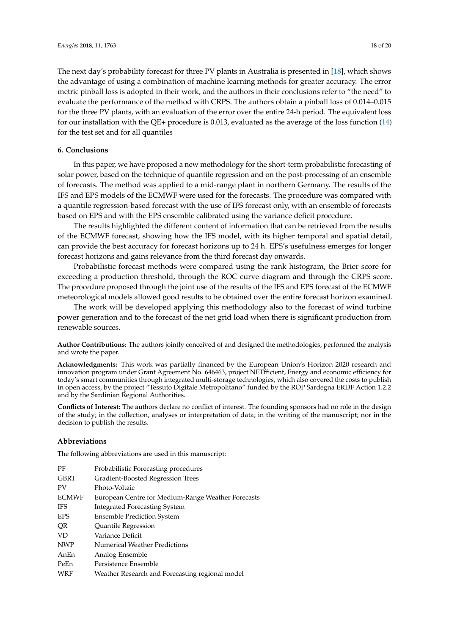The next day's probability forecast for three PV plants in Australia is presented in [\[18\]](#page-19-5), which shows the advantage of using a combination of machine learning methods for greater accuracy. The error metric pinball loss is adopted in their work, and the authors in their conclusions refer to "the need" to evaluate the performance of the method with CRPS. The authors obtain a pinball loss of 0.014–0.015 for the three PV plants, with an evaluation of the error over the entire 24-h period. The equivalent loss for our installation with the QE+ procedure is 0.013, evaluated as the average of the loss function [\(14\)](#page-4-1) for the test set and for all quantiles

# <span id="page-17-0"></span>**6. Conclusions**

In this paper, we have proposed a new methodology for the short-term probabilistic forecasting of solar power, based on the technique of quantile regression and on the post-processing of an ensemble of forecasts. The method was applied to a mid-range plant in northern Germany. The results of the IFS and EPS models of the ECMWF were used for the forecasts. The procedure was compared with a quantile regression-based forecast with the use of IFS forecast only, with an ensemble of forecasts based on EPS and with the EPS ensemble calibrated using the variance deficit procedure.

The results highlighted the different content of information that can be retrieved from the results of the ECMWF forecast, showing how the IFS model, with its higher temporal and spatial detail, can provide the best accuracy for forecast horizons up to 24 h. EPS's usefulness emerges for longer forecast horizons and gains relevance from the third forecast day onwards.

Probabilistic forecast methods were compared using the rank histogram, the Brier score for exceeding a production threshold, through the ROC curve diagram and through the CRPS score. The procedure proposed through the joint use of the results of the IFS and EPS forecast of the ECMWF meteorological models allowed good results to be obtained over the entire forecast horizon examined.

The work will be developed applying this methodology also to the forecast of wind turbine power generation and to the forecast of the net grid load when there is significant production from renewable sources.

**Author Contributions:** The authors jointly conceived of and designed the methodologies, performed the analysis and wrote the paper.

**Acknowledgments:** This work was partially financed by the European Union's Horizon 2020 research and innovation program under Grant Agreement No. 646463, project NETfficient, Energy and economic efficiency for today's smart communities through integrated multi-storage technologies, which also covered the costs to publish in open access, by the project "Tessuto Digitale Metropolitano" funded by the ROP Sardegna ERDF Action 1.2.2 and by the Sardinian Regional Authorities.

**Conflicts of Interest:** The authors declare no conflict of interest. The founding sponsors had no role in the design of the study; in the collection, analyses or interpretation of data; in the writing of the manuscript; nor in the decision to publish the results.

# **Abbreviations**

The following abbreviations are used in this manuscript:

| PF           | Probabilistic Forecasting procedures               |
|--------------|----------------------------------------------------|
| <b>GBRT</b>  | Gradient-Boosted Regression Trees                  |
| <b>PV</b>    | Photo-Voltaic                                      |
| <b>ECMWF</b> | European Centre for Medium-Range Weather Forecasts |
| <b>IFS</b>   | Integrated Forecasting System                      |
| <b>EPS</b>   | Ensemble Prediction System                         |
| <b>OR</b>    | Quantile Regression                                |
| <b>VD</b>    | Variance Deficit                                   |
| <b>NWP</b>   | Numerical Weather Predictions                      |
| AnEn         | Analog Ensemble                                    |
| PeEn         | Persistence Ensemble                               |
| WRF          | Weather Research and Forecasting regional model    |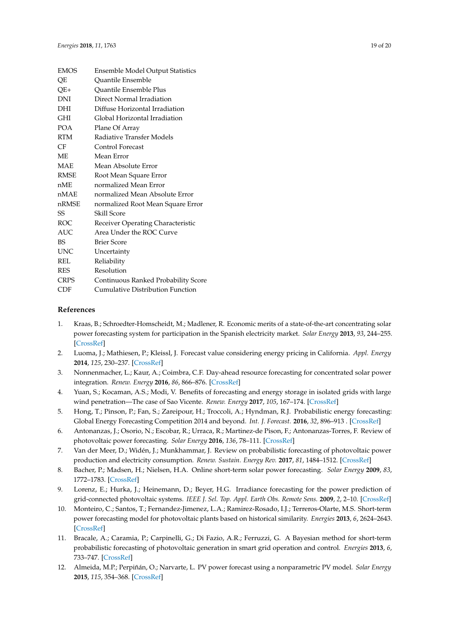| <b>EMOS</b> | <b>Ensemble Model Output Statistics</b> |
|-------------|-----------------------------------------|
| QE          | Quantile Ensemble                       |
| $QE+$       | Ouantile Ensemble Plus                  |
| DNI         | Direct Normal Irradiation               |
| DHI         | Diffuse Horizontal Irradiation          |
| <b>GHI</b>  | Global Horizontal Irradiation           |
| <b>POA</b>  | Plane Of Array                          |
| <b>RTM</b>  | Radiative Transfer Models               |
| CF          | <b>Control Forecast</b>                 |
| МE          | Mean Error                              |
| <b>MAE</b>  | Mean Absolute Error                     |
| <b>RMSE</b> | Root Mean Square Error                  |
| nME         | normalized Mean Error                   |
| nMAE        | normalized Mean Absolute Error          |
| nRMSE       | normalized Root Mean Square Error       |
| SS          | Skill Score                             |
| ROC         | Receiver Operating Characteristic       |
| <b>AUC</b>  | Area Under the ROC Curve                |
| BS          | <b>Brier Score</b>                      |
| <b>UNC</b>  | Uncertainty                             |
| REL         | Reliability                             |
| <b>RES</b>  | Resolution                              |
| <b>CRPS</b> | Continuous Ranked Probability Score     |
| <b>CDF</b>  | <b>Cumulative Distribution Function</b> |
|             |                                         |

# **References**

- <span id="page-18-0"></span>1. Kraas, B.; Schroedter-Homscheidt, M.; Madlener, R. Economic merits of a state-of-the-art concentrating solar power forecasting system for participation in the Spanish electricity market. *Solar Energy* **2013**, *93*, 244–255. [\[CrossRef\]](http://dx.doi.org/10.1016/j.solener.2013.04.012)
- 2. Luoma, J.; Mathiesen, P.; Kleissl, J. Forecast value considering energy pricing in California. *Appl. Energy* **2014**, *125*, 230–237. [\[CrossRef\]](http://dx.doi.org/10.1016/j.apenergy.2014.03.061)
- <span id="page-18-1"></span>3. Nonnenmacher, L.; Kaur, A.; Coimbra, C.F. Day-ahead resource forecasting for concentrated solar power integration. *Renew. Energy* **2016**, *86*, 866–876. [\[CrossRef\]](http://dx.doi.org/10.1016/j.renene.2015.08.068)
- <span id="page-18-2"></span>4. Yuan, S.; Kocaman, A.S.; Modi, V. Benefits of forecasting and energy storage in isolated grids with large wind penetration—The case of Sao Vicente. *Renew. Energy* **2017**, *105*, 167–174. [\[CrossRef\]](http://dx.doi.org/10.1016/j.renene.2016.12.061)
- <span id="page-18-3"></span>5. Hong, T.; Pinson, P.; Fan, S.; Zareipour, H.; Troccoli, A.; Hyndman, R.J. Probabilistic energy forecasting: Global Energy Forecasting Competition 2014 and beyond. *Int. J. Forecast.* **2016**, *32*, 896–913 . [\[CrossRef\]](http://dx.doi.org/10.1016/j.ijforecast.2016.02.001)
- <span id="page-18-4"></span>6. Antonanzas, J.; Osorio, N.; Escobar, R.; Urraca, R.; Martinez-de Pison, F.; Antonanzas-Torres, F. Review of photovoltaic power forecasting. *Solar Energy* **2016**, *136*, 78–111. [\[CrossRef\]](http://dx.doi.org/10.1016/j.solener.2016.06.069)
- <span id="page-18-5"></span>7. Van der Meer, D.; Widén, J.; Munkhammar, J. Review on probabilistic forecasting of photovoltaic power production and electricity consumption. *Renew. Sustain. Energy Rev.* **2017**, *81*, 1484–1512. [\[CrossRef\]](http://dx.doi.org/10.1016/j.rser.2017.05.212)
- <span id="page-18-6"></span>8. Bacher, P.; Madsen, H.; Nielsen, H.A. Online short-term solar power forecasting. *Solar Energy* **2009**, *83*, 1772–1783. [\[CrossRef\]](http://dx.doi.org/10.1016/j.solener.2009.05.016)
- <span id="page-18-7"></span>9. Lorenz, E.; Hurka, J.; Heinemann, D.; Beyer, H.G. Irradiance forecasting for the power prediction of grid-connected photovoltaic systems. *IEEE J. Sel. Top. Appl. Earth Obs. Remote Sens.* **2009**, *2*, 2–10. [\[CrossRef\]](http://dx.doi.org/10.1109/JSTARS.2009.2020300)
- <span id="page-18-8"></span>10. Monteiro, C.; Santos, T.; Fernandez-Jimenez, L.A.; Ramirez-Rosado, I.J.; Terreros-Olarte, M.S. Short-term power forecasting model for photovoltaic plants based on historical similarity. *Energies* **2013**, *6*, 2624–2643. [\[CrossRef\]](http://dx.doi.org/10.3390/en6052624)
- <span id="page-18-9"></span>11. Bracale, A.; Caramia, P.; Carpinelli, G.; Di Fazio, A.R.; Ferruzzi, G. A Bayesian method for short-term probabilistic forecasting of photovoltaic generation in smart grid operation and control. *Energies* **2013**, *6*, 733–747. [\[CrossRef\]](http://dx.doi.org/10.3390/en6020733)
- <span id="page-18-10"></span>12. Almeida, M.P.; Perpiñán, O.; Narvarte, L. PV power forecast using a nonparametric PV model. *Solar Energy* **2015**, *115*, 354–368. [\[CrossRef\]](http://dx.doi.org/10.1016/j.solener.2015.03.006)